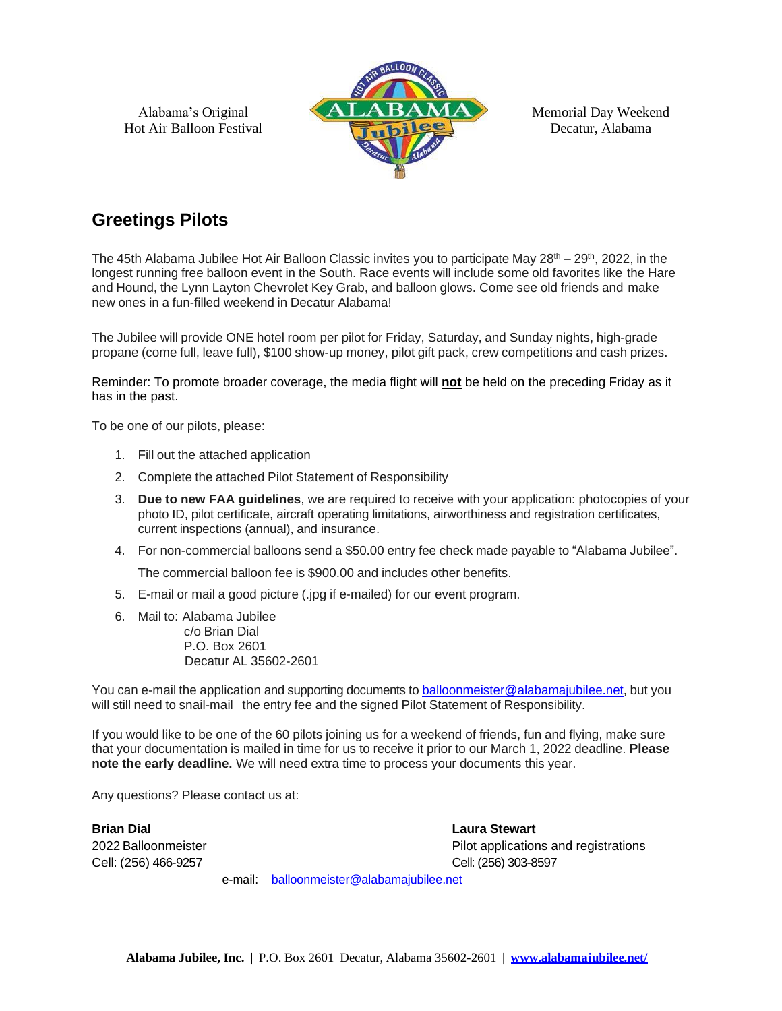

Memorial Day Weekend Decatur, Alabama

# **Greetings Pilots**

The 45th Alabama Jubilee Hot Air Balloon Classic invites you to participate May 28<sup>th</sup> – 29<sup>th</sup>, 2022, in the longest running free balloon event in the South. Race events will include some old favorites like the Hare and Hound, the Lynn Layton Chevrolet Key Grab, and balloon glows. Come see old friends and make new ones in a fun-filled weekend in Decatur Alabama!

The Jubilee will provide ONE hotel room per pilot for Friday, Saturday, and Sunday nights, high-grade propane (come full, leave full), \$100 show-up money, pilot gift pack, crew competitions and cash prizes.

Reminder: To promote broader coverage, the media flight will **not** be held on the preceding Friday as it has in the past.

To be one of our pilots, please:

- 1. Fill out the attached application
- 2. Complete the attached Pilot Statement of Responsibility
- 3. **Due to new FAA guidelines**, we are required to receive with your application: photocopies of your photo ID, pilot certificate, aircraft operating limitations, airworthiness and registration certificates, current inspections (annual), and insurance.
- 4. For non-commercial balloons send a \$50.00 entry fee check made payable to "Alabama Jubilee".

The commercial balloon fee is \$900.00 and includes other benefits.

- 5. E-mail or mail a good picture (.jpg if e-mailed) for our event program.
- 6. Mail to: Alabama Jubilee c/o Brian Dial P.O. Box 2601 Decatur AL 35602-2601

You can e-mail the application and supporting documents to [balloonmeister@alabamajubilee.net,](mailto:balloonmeister@alabamajubilee.net) but you will still need to snail-mail the entry fee and the signed Pilot Statement of Responsibility.

If you would like to be one of the 60 pilots joining us for a weekend of friends, fun and flying, make sure that your documentation is mailed in time for us to receive it prior to our March 1, 2022 deadline. **Please note the early deadline.** We will need extra time to process your documents this year.

Any questions? Please contact us at:

**Brian Dial Laura Stewart** Cell: (256) 466-9257 Cell: (256) 303-8597

2022 Balloonmeister Pilot applications and registrations

e-mail: [balloonmeister@alabamajubilee.net](mailto:balloonmeister@alabamajubilee.net)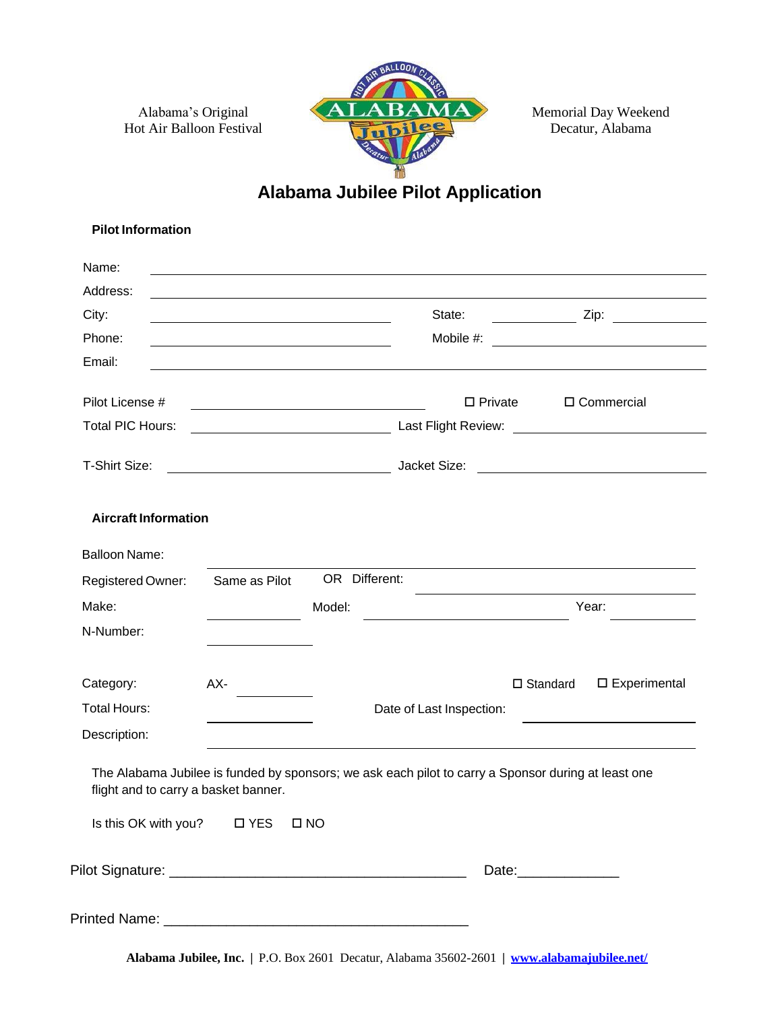

Memorial Day Weekend Decatur, Alabama

# **Alabama Jubilee Pilot Application**

| <b>Pilot Information</b>             |                                                                                                                      |               |                          |                                                                                                     |
|--------------------------------------|----------------------------------------------------------------------------------------------------------------------|---------------|--------------------------|-----------------------------------------------------------------------------------------------------|
| Name:                                |                                                                                                                      |               |                          |                                                                                                     |
| Address:                             |                                                                                                                      |               |                          |                                                                                                     |
| City:                                |                                                                                                                      |               | State:                   | $\mathsf{Zip:}$                                                                                     |
| Phone:                               | <u> 1989 - Johann Stein, marwolaethau a bhann an t-Amhain an t-Amhain an t-Amhain an t-Amhain an t-Amhain an t-A</u> |               | Mobile #:                |                                                                                                     |
| Email:                               |                                                                                                                      |               |                          |                                                                                                     |
| Pilot License #                      |                                                                                                                      |               | $\square$ Private        | □ Commercial                                                                                        |
| Total PIC Hours:                     |                                                                                                                      |               |                          |                                                                                                     |
| T-Shirt Size:                        | <u> 2000 - Andrea Andrew Maria (h. 18</u>                                                                            |               |                          |                                                                                                     |
| <b>Aircraft Information</b>          |                                                                                                                      |               |                          |                                                                                                     |
| <b>Balloon Name:</b>                 |                                                                                                                      |               |                          |                                                                                                     |
| Registered Owner:                    | Same as Pilot                                                                                                        | OR Different: |                          |                                                                                                     |
| Make:                                |                                                                                                                      | Model:        |                          | Year:                                                                                               |
| N-Number:                            |                                                                                                                      |               |                          |                                                                                                     |
| Category:                            | AX-                                                                                                                  |               |                          | $\square$ Standard<br>□ Experimental                                                                |
| <b>Total Hours:</b>                  |                                                                                                                      |               | Date of Last Inspection: |                                                                                                     |
| Description:                         |                                                                                                                      |               |                          |                                                                                                     |
| flight and to carry a basket banner. |                                                                                                                      |               |                          | The Alabama Jubilee is funded by sponsors; we ask each pilot to carry a Sponsor during at least one |
| Is this OK with you? □ YES           |                                                                                                                      | $\square$ NO  |                          |                                                                                                     |
|                                      |                                                                                                                      |               |                          | Date:_______________                                                                                |
|                                      |                                                                                                                      |               |                          |                                                                                                     |

**Alabama Jubilee, Inc. |** P.O. Box 2601 Decatur, Alabama 35602-2601 **| [www.alabamajubilee.net/](http://www.alabamajubilee.net/)**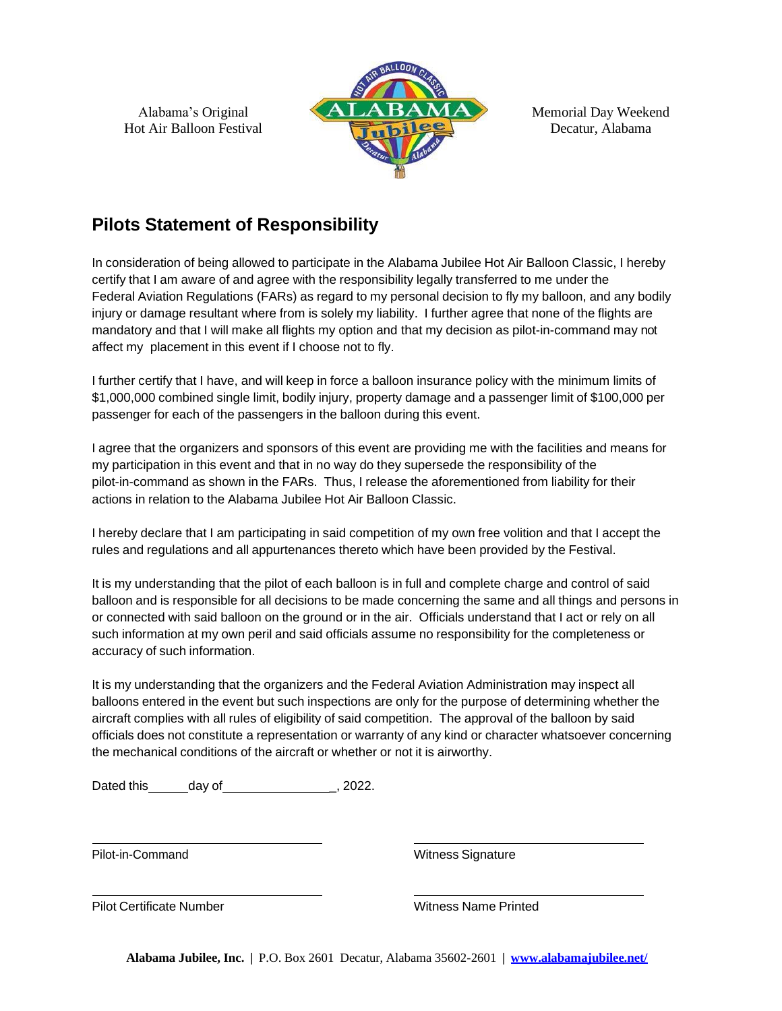

Memorial Day Weekend Decatur, Alabama

## **Pilots Statement of Responsibility**

In consideration of being allowed to participate in the Alabama Jubilee Hot Air Balloon Classic, I hereby certify that I am aware of and agree with the responsibility legally transferred to me under the Federal Aviation Regulations (FARs) as regard to my personal decision to fly my balloon, and any bodily injury or damage resultant where from is solely my liability. I further agree that none of the flights are mandatory and that I will make all flights my option and that my decision as pilot-in-command may not affect my placement in this event if I choose not to fly.

I further certify that I have, and will keep in force a balloon insurance policy with the minimum limits of \$1,000,000 combined single limit, bodily injury, property damage and a passenger limit of \$100,000 per passenger for each of the passengers in the balloon during this event.

I agree that the organizers and sponsors of this event are providing me with the facilities and means for my participation in this event and that in no way do they supersede the responsibility of the pilot-in-command as shown in the FARs. Thus, I release the aforementioned from liability for their actions in relation to the Alabama Jubilee Hot Air Balloon Classic.

I hereby declare that I am participating in said competition of my own free volition and that I accept the rules and regulations and all appurtenances thereto which have been provided by the Festival.

It is my understanding that the pilot of each balloon is in full and complete charge and control of said balloon and is responsible for all decisions to be made concerning the same and all things and persons in or connected with said balloon on the ground or in the air. Officials understand that I act or rely on all such information at my own peril and said officials assume no responsibility for the completeness or accuracy of such information.

It is my understanding that the organizers and the Federal Aviation Administration may inspect all balloons entered in the event but such inspections are only for the purpose of determining whether the aircraft complies with all rules of eligibility of said competition. The approval of the balloon by said officials does not constitute a representation or warranty of any kind or character whatsoever concerning the mechanical conditions of the aircraft or whether or not it is airworthy.

Dated this day of \_, 2022.

Pilot-in-Command Witness Signature

Pilot Certificate Number Name Printed Witness Name Printed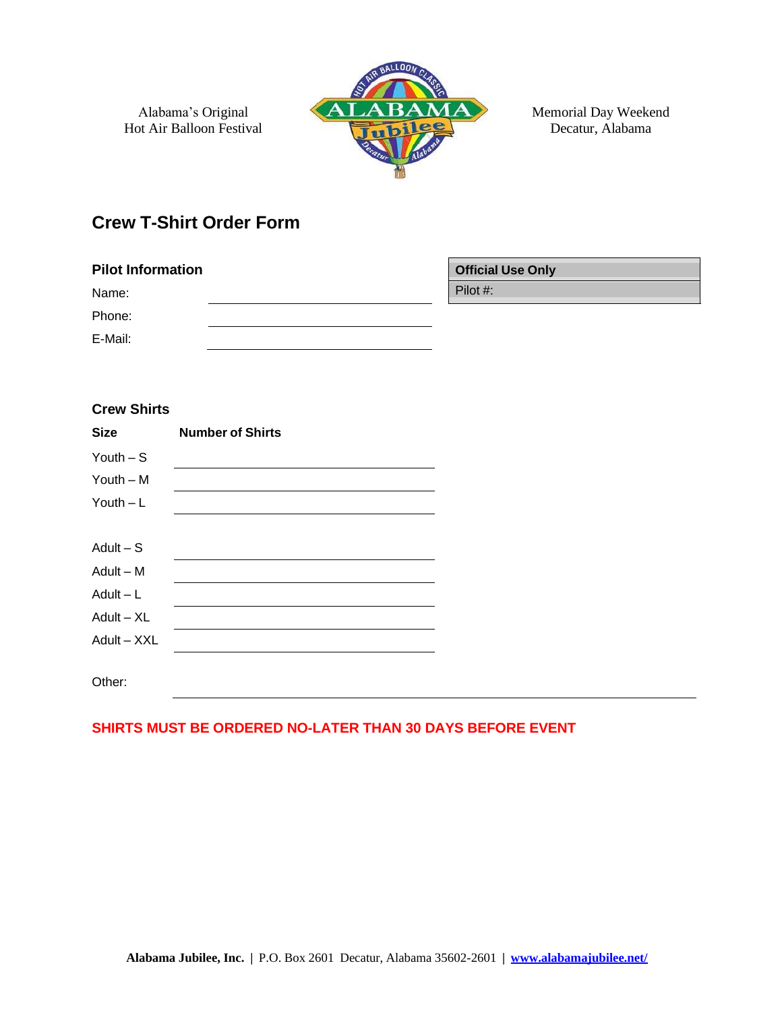

Memorial Day Weekend Decatur, Alabama

### **Crew T-Shirt Order Form**

| <b>Pilot Information</b> | <b>Official Use Only</b> |
|--------------------------|--------------------------|
| Name:                    | Pilot #:                 |
| Phone:                   |                          |
| E-Mail:                  |                          |

| <b>Crew Shirts</b> |                         |  |
|--------------------|-------------------------|--|
| <b>Size</b>        | <b>Number of Shirts</b> |  |
| Youth $-$ S        |                         |  |
| Youth $- M$        |                         |  |
| Youth $-L$         |                         |  |
|                    |                         |  |
| Adult $-$ S        |                         |  |
| $Adult - M$        |                         |  |
| $Adult - L$        |                         |  |
| $Adult - XL$       |                         |  |
| Adult - XXL        |                         |  |
|                    |                         |  |
| Other:             |                         |  |

#### **SHIRTS MUST BE ORDERED NO-LATER THAN 30 DAYS BEFORE EVENT**